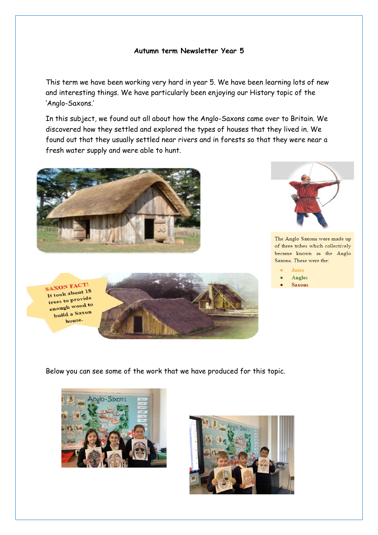## **Autumn term Newsletter Year 5**

This term we have been working very hard in year 5. We have been learning lots of new and interesting things. We have particularly been enjoying our History topic of the 'Anglo-Saxons.'

In this subject, we found out all about how the Anglo-Saxons came over to Britain. We discovered how they settled and explored the types of houses that they lived in. We found out that they usually settled near rivers and in forests so that they were near a fresh water supply and were able to hunt.









The Anglo Saxons were made up of three tribes which collectively became known as the Anglo Saxons. These were the:

**Jutes** Angles

## **Saxons**

Below you can see some of the work that we have produced for this topic.



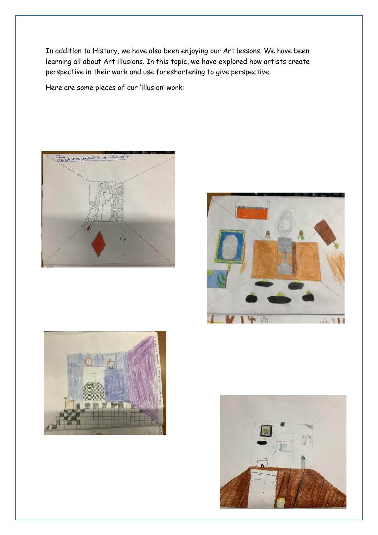In addition to History, we have also been enjoying our Art lessons. We have been learning all about Art illusions. In this topic, we have explored how artists create perspective in their work and use foreshortening to give perspective.

Here are some pieces of our 'illusion' work:







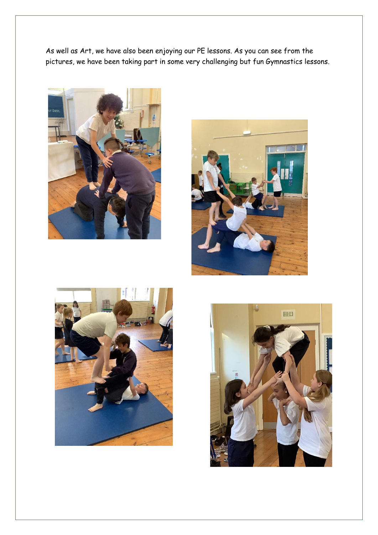As well as Art, we have also been enjoying our PE lessons. As you can see from the pictures, we have been taking part in some very challenging but fun Gymnastics lessons.